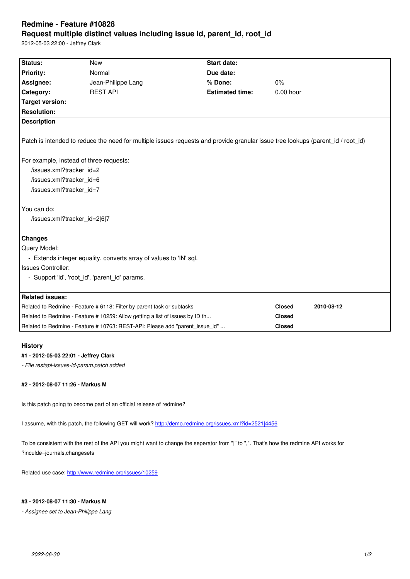#### **Request multiple distinct values including issue id, parent\_id, root\_id**

2012-05-03 22:00 - Jeffrey Clark

| Status:                                                                       | <b>New</b>                                                                                                                      | <b>Start date:</b>     |               |            |
|-------------------------------------------------------------------------------|---------------------------------------------------------------------------------------------------------------------------------|------------------------|---------------|------------|
| <b>Priority:</b>                                                              | Normal                                                                                                                          | Due date:              |               |            |
| Assignee:                                                                     | Jean-Philippe Lang                                                                                                              | % Done:                | 0%            |            |
| Category:                                                                     | <b>REST API</b>                                                                                                                 | <b>Estimated time:</b> | $0.00$ hour   |            |
| <b>Target version:</b>                                                        |                                                                                                                                 |                        |               |            |
| <b>Resolution:</b>                                                            |                                                                                                                                 |                        |               |            |
| <b>Description</b>                                                            |                                                                                                                                 |                        |               |            |
|                                                                               | Patch is intended to reduce the need for multiple issues requests and provide granular issue tree lookups (parent id / root id) |                        |               |            |
| For example, instead of three requests:                                       |                                                                                                                                 |                        |               |            |
| /issues.xml?tracker id=2                                                      |                                                                                                                                 |                        |               |            |
| /issues.xml?tracker id=6                                                      |                                                                                                                                 |                        |               |            |
| /issues.xml?tracker id=7                                                      |                                                                                                                                 |                        |               |            |
|                                                                               |                                                                                                                                 |                        |               |            |
| You can do:                                                                   |                                                                                                                                 |                        |               |            |
| /issues.xml?tracker_id=2 6 7                                                  |                                                                                                                                 |                        |               |            |
|                                                                               |                                                                                                                                 |                        |               |            |
| <b>Changes</b>                                                                |                                                                                                                                 |                        |               |            |
| Query Model:                                                                  |                                                                                                                                 |                        |               |            |
|                                                                               | - Extends integer equality, converts array of values to 'IN' sql.                                                               |                        |               |            |
| <b>Issues Controller:</b>                                                     |                                                                                                                                 |                        |               |            |
|                                                                               | - Support 'id', 'root id', 'parent id' params.                                                                                  |                        |               |            |
|                                                                               |                                                                                                                                 |                        |               |            |
| <b>Related issues:</b>                                                        |                                                                                                                                 |                        |               |            |
| Related to Redmine - Feature # 6118: Filter by parent task or subtasks        |                                                                                                                                 |                        | <b>Closed</b> | 2010-08-12 |
| Related to Redmine - Feature # 10259: Allow getting a list of issues by ID th |                                                                                                                                 |                        | <b>Closed</b> |            |
|                                                                               | Related to Redmine - Feature # 10763: REST-API: Please add "parent_issue_id"                                                    |                        | Closed        |            |

## **History**

#### **#1 - 2012-05-03 22:01 - Jeffrey Clark**

*- File restapi-issues-id-param.patch added*

#### **#2 - 2012-08-07 11:26 - Markus M**

Is this patch going to become part of an official release of redmine?

I assume, with this patch, the following GET will work? http://demo.redmine.org/issues.xml?id=2521|4456

To be consistent with the rest of the API you might want to change the seperator from "|" to ",". That's how the redmine API works for ?inculde=journals,changesets

Related use case: http://www.redmine.org/issues/10259

# **#3 - 2012-08-07 11:30 - Markus M**

*- Assignee set to J[ean-Philippe Lang](http://www.redmine.org/issues/10259)*